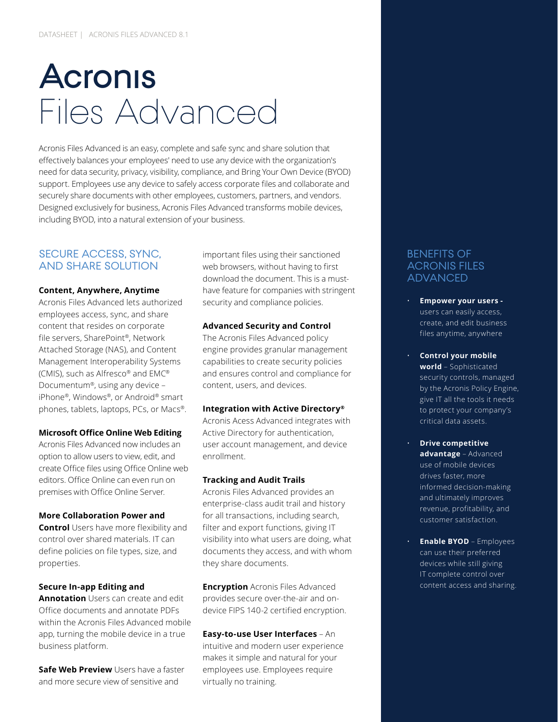# **Acronis** Files Advanced

Acronis Files Advanced is an easy, complete and safe sync and share solution that effectively balances your employees' need to use any device with the organization's need for data security, privacy, visibility, compliance, and Bring Your Own Device (BYOD) support. Employees use any device to safely access corporate files and collaborate and securely share documents with other employees, customers, partners, and vendors. Designed exclusively for business, Acronis Files Advanced transforms mobile devices, including BYOD, into a natural extension of your business.

# SECURE ACCESS, SYNC, AND SHARE SOLUTION

#### **Content, Anywhere, Anytime**

Acronis Files Advanced lets authorized employees access, sync, and share content that resides on corporate file servers, SharePoint®, Network Attached Storage (NAS), and Content Management Interoperability Systems (CMIS), such as Alfresco® and EMC® Documentum®, using any device – iPhone®, Windows®, or Android® smart phones, tablets, laptops, PCs, or Macs®.

#### **Microsoft Office Online Web Editing**

Acronis Files Advanced now includes an option to allow users to view, edit, and create Office files using Office Online web editors. Office Online can even run on premises with Office Online Server.

#### **More Collaboration Power and**

**Control** Users have more flexibility and control over shared materials. IT can define policies on file types, size, and properties.

#### **Secure In-app Editing and**

**Annotation** Users can create and edit Office documents and annotate PDFs within the Acronis Files Advanced mobile app, turning the mobile device in a true business platform.

**Safe Web Preview** Users have a faster and more secure view of sensitive and

important files using their sanctioned web browsers, without having to first download the document. This is a musthave feature for companies with stringent security and compliance policies.

#### **Advanced Security and Control**

The Acronis Files Advanced policy engine provides granular management capabilities to create security policies and ensures control and compliance for content, users, and devices.

#### **Integration with Active Directory®**

Acronis Acess Advanced integrates with Active Directory for authentication, user account management, and device enrollment.

#### **Tracking and Audit Trails**

Acronis Files Advanced provides an enterprise-class audit trail and history for all transactions, including search, filter and export functions, giving IT visibility into what users are doing, what documents they access, and with whom they share documents.

**Encryption** Acronis Files Advanced provides secure over-the-air and ondevice FIPS 140-2 certified encryption.

#### **Easy-to-use User Interfaces** – An

intuitive and modern user experience makes it simple and natural for your employees use. Employees require virtually no training.

### BENEFITS OF ACRONIS FILES ADVANCED

- **Empower your users**  users can easily access, create, and edit business files anytime, anywhere
- **Control your mobile world** – Sophisticated security controls, managed by the Acronis Policy Engine, give IT all the tools it needs to protect your company's critical data assets.
- **Drive competitive advantage** – Advanced use of mobile devices drives faster, more informed decision-making and ultimately improves revenue, profitability, and customer satisfaction.
- **Enable BYOD** Employees can use their preferred devices while still giving IT complete control over content access and sharing.